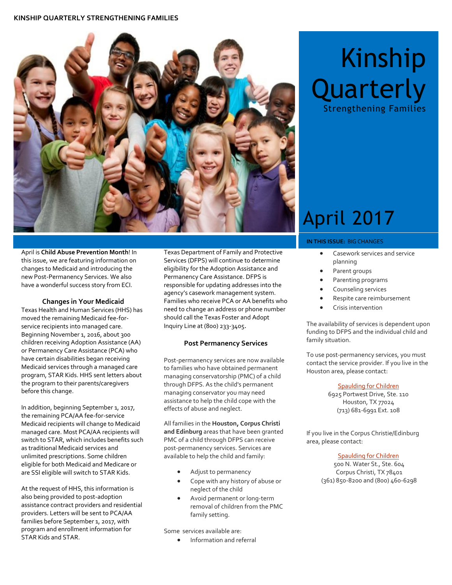#### **KINSHIP QUARTERLY STRENGTHENING FAMILIES**



April is **Child Abuse Prevention Month**! In this issue, we are featuring information on changes to Medicaid and introducing the new Post-Permanency Services. We also have a wonderful success story from ECI.

#### **Changes in Your Medicaid**

Texas Health and Human Services (HHS) has moved the remaining Medicaid fee-forservice recipients into managed care. Beginning November 1, 2016, about 300 children receiving Adoption Assistance (AA) or Permanency Care Assistance (PCA) who have certain disabilities began receiving Medicaid services through a managed care program, STAR Kids. HHS sent letters about the program to their parents/caregivers before this change.

In addition, beginning September 1, 2017, the remaining PCA/AA fee-for-service Medicaid recipients will change to Medicaid managed care. Most PCA/AA recipients will switch to STAR, which includes benefits such as traditional Medicaid services and unlimited prescriptions. Some children eligible for both Medicaid and Medicare or are SSI eligible will switch to STAR Kids.

At the request of HHS, this information is also being provided to post-adoption assistance contract providers and residential providers. Letters will be sent to PCA/AA families before September 1, 2017, with program and enrollment information for STAR Kids and STAR.

Texas Department of Family and Protective Services (DFPS) will continue to determine eligibility for the Adoption Assistance and Permanency Care Assistance. DFPS is responsible for updating addresses into the agency's casework management system. Families who receive PCA or AA benefits who need to change an address or phone number should call the Texas Foster and Adopt Inquiry Line at (800) 233-3405.

#### **Post Permanency Services**

Post-permanency services are now available to families who have obtained permanent managing conservatorship (PMC) of a child through DFPS. As the child's permanent managing conservator you may need assistance to help the child cope with the effects of abuse and neglect.

All families in the **Houston, Corpus Christi and Edinburg** areas that have been granted PMC of a child through DFPS can receive post-permanency services. Services are available to help the child and family:

- Adjust to permanency
- Cope with any history of abuse or neglect of the child
- Avoid permanent or long-term removal of children from the PMC family setting.

Some services available are:

Information and referral

# Kinship **Quarterly**

Strengthening Families

## April 2017

#### **IN THIS ISSUE:** BIG CHANGES

- Casework services and service planning
- Parent groups
- Parenting programs
- Counseling services
- Respite care reimbursement
- Crisis intervention

The availability of services is dependent upon funding to DFPS and the individual child and family situation.

To use post-permanency services, you must contact the service provider. If you live in the Houston area, please contact:

#### [Spaulding for Children](http://www.spauldingforchildren.org/post-adoption/)

6925 Portwest Drive, Ste. 110 Houston, TX 77024 (713) 681-6991 Ext. 108

If you live in the Corpus Christie/Edinburg area, please contact:

#### [Spaulding for Children](http://www.spauldingforchildren.org/post-adoption/)

500 N. Water St., Ste. 604 Corpus Christi, TX 78401 (361) 850-8200 and (800) 460-6298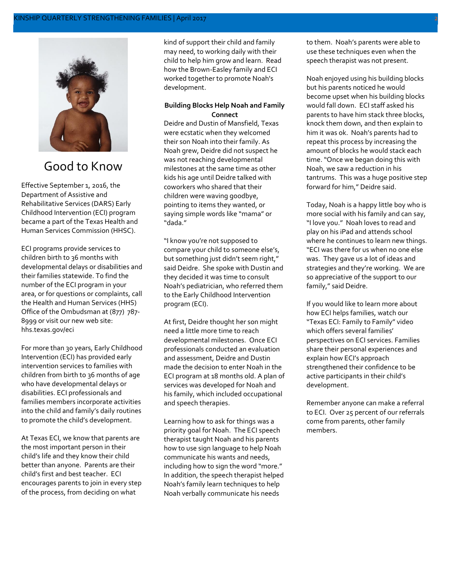#### KINSHIP QUARTERLY STRENGTHENING FAMILIES | April 2017 2



### Good to Know

Effective September 1, 2016, the Department of Assistive and Rehabilitative Services (DARS) Early Childhood Intervention (ECI) program became a part of the Texas Health and Human Services Commission (HHSC).

ECI programs provide services to children birth to 36 months with developmental delays or disabilities and their families statewide. To find the number of the ECI program in your area, or for questions or complaints, call the Health and Human Services (HHS) Office of the Ombudsman at (877) 787- 8999 or visit our new web site: hhs.texas.gov/eci

For more than 30 years, Early Childhood Intervention (ECI) has provided early intervention services to families with children from birth to 36 months of age who have developmental delays or disabilities. ECI professionals and families members incorporate activities into the child and family's daily routines to promote the child's development.

At Texas ECI, we know that parents are the most important person in their child's life and they know their child better than anyone. Parents are their child's first and best teacher. ECI encourages parents to join in every step of the process, from deciding on what

kind of support their child and family may need, to working daily with their child to help him grow and learn. Read how the Brown-Easley family and ECI worked together to promote Noah's development.

#### **Building Blocks Help Noah and Family Connect**

Deidre and Dustin of Mansfield, Texas were ecstatic when they welcomed their son Noah into their family. As Noah grew, Deidre did not suspect he was not reaching developmental milestones at the same time as other kids his age until Deidre talked with coworkers who shared that their children were waving goodbye, pointing to items they wanted, or saying simple words like "mama" or "dada."

"I know you're not supposed to compare your child to someone else's, but something just didn't seem right," said Deidre. She spoke with Dustin and they decided it was time to consult Noah's pediatrician, who referred them to the Early Childhood Intervention program (ECI).

At first, Deidre thought her son might need a little more time to reach developmental milestones. Once ECI professionals conducted an evaluation and assessment, Deidre and Dustin made the decision to enter Noah in the ECI program at 18 months old. A plan of services was developed for Noah and his family, which included occupational and speech therapies.

Learning how to ask for things was a priority goal for Noah. The ECI speech therapist taught Noah and his parents how to use sign language to help Noah communicate his wants and needs, including how to sign the word "more." In addition, the speech therapist helped Noah's family learn techniques to help Noah verbally communicate his needs

to them. Noah's parents were able to use these techniques even when the speech therapist was not present.

Noah enjoyed using his building blocks but his parents noticed he would become upset when his building blocks would fall down. ECI staff asked his parents to have him stack three blocks, knock them down, and then explain to him it was ok. Noah's parents had to repeat this process by increasing the amount of blocks he would stack each time. "Once we began doing this with Noah, we saw a reduction in his tantrums. This was a huge positive step forward for him," Deidre said.

Today, Noah is a happy little boy who is more social with his family and can say, "I love you." Noah loves to read and play on his iPad and attends school where he continues to learn new things. "ECI was there for us when no one else was. They gave us a lot of ideas and strategies and they're working. We are so appreciative of the support to our family," said Deidre.

If you would like to learn more about how ECI helps families, watch our "Texas ECI: Family to Family" video which offers several families' perspectives on ECI services. Families share their personal experiences and explain how ECI's approach strengthened their confidence to be active participants in their child's development.

Remember anyone can make a referral to ECI. Over 25 percent of our referrals come from parents, other family members.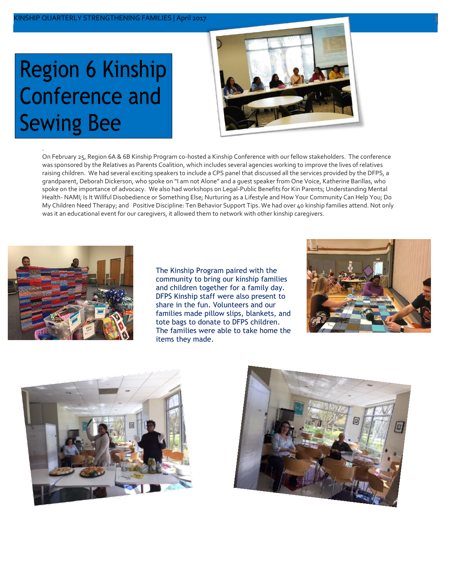## **Region 6 Kinship Conference and Sewing Bee**



On February 25, Region 6A & 6B Kinship Program co-hosted a Kinship Conference with our fellow stakeholders. The conference was sponsored by the Relatives as Parents Coalition, which includes several agencies working to improve the lives of relatives raising children. We had several exciting speakers to include a CPS panel that discussed all the services provided by the DFPS, a grandparent, Deborah Dickerson, who spoke on "I am not Alone" and a guest speaker from One Voice, Katherine Barillas, who spoke on the importance of advocacy. We also had workshops on Legal-Public Benefits for Kin Parents; Understanding Mental Health- NAMI; Is It Willful Disobedience or Something Else; Nurturing as a Lifestyle and How Your Community Can Help You; Do My Children Need Therapy; and Positive Discipline: Ten Behavior Support Tips. We had over 40 kinship families attend. Not only was it an educational event for our caregivers, it allowed them to network with other kinship caregivers.



.

The Kinship Program paired with the community to bring our kinship families and children together for a family day. DFPS Kinship staff were also present to share in the fun. Volunteers and our families made pillow slips, blankets, and tote bags to donate to DFPS children. The families were able to take home the items they made.